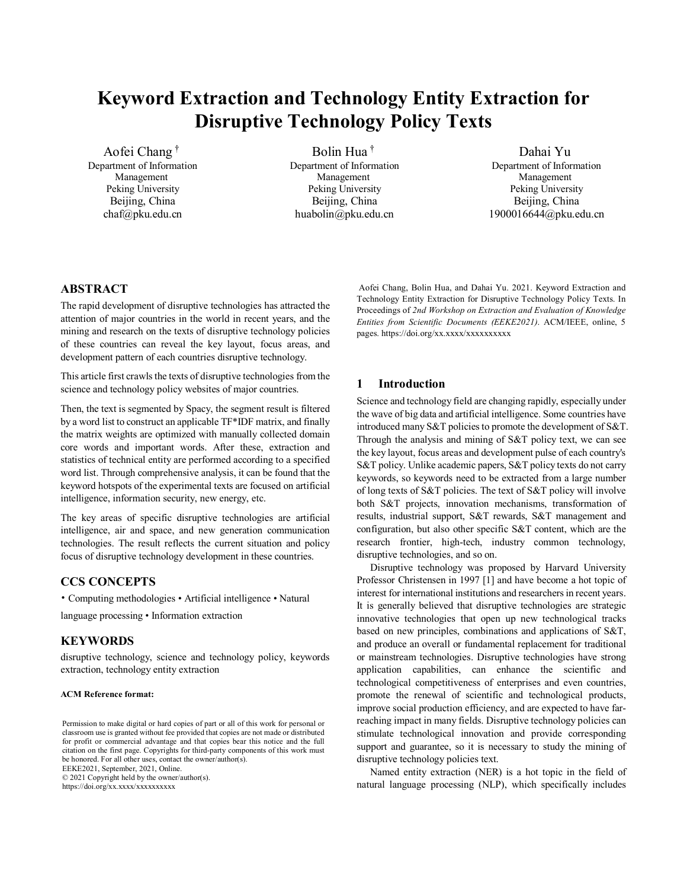# **Keyword Extraction and Technology Entity Extraction for Disruptive Technology Policy Texts**

Aofei Chang † Department of Information Management Peking University Beijing, China chaf@pku.edu.cn

Bolin Hua † Department of Information Management Peking University Beijing, China huabolin@pku.edu.cn

Dahai Yu Department of Information Management Peking University Beijing, China 1900016644@pku.edu.cn

# **ABSTRACT**

The rapid development of disruptive technologies has attracted the attention of major countries in the world in recent years, and the mining and research on the texts of disruptive technology policies of these countries can reveal the key layout, focus areas, and development pattern of each countries disruptive technology.

This article first crawls the texts of disruptive technologies from the science and technology policy websites of major countries.

Then, the text is segmented by Spacy, the segment result is filtered by a word list to construct an applicable TF\*IDF matrix, and finally the matrix weights are optimized with manually collected domain core words and important words. After these, extraction and statistics of technical entity are performed according to a specified word list. Through comprehensive analysis, it can be found that the keyword hotspots of the experimental texts are focused on artificial intelligence, information security, new energy, etc.

The key areas of specific disruptive technologies are artificial intelligence, air and space, and new generation communication technologies. The result reflects the current situation and policy focus of disruptive technology development in these countries.

#### **CCS CONCEPTS**

• Computing methodologies • Artificial intelligence • Natural

language processing • Information extraction

## **KEYWORDS**

disruptive technology, science and technology policy, keywords extraction, technology entity extraction

#### **ACM Reference format:**

Permission to make digital or hard copies of part or all of this work for personal or classroom use is granted without fee provided that copies are not made or distributed for profit or commercial advantage and that copies bear this notice and the full citation on the first page. Copyrights for third-party components of this work must be honored. For all other uses, contact the owner/author(s). EEKE2021, September, 2021, Online.

© 2021 Copyright held by the owner/author(s). https://doi.org/xx.xxxx/xxxxxxxxxx

Aofei Chang, Bolin Hua, and Dahai Yu. 2021. Keyword Extraction and Technology Entity Extraction for Disruptive Technology Policy Texts. In Proceedings of *2nd Workshop on Extraction and Evaluation of Knowledge Entities from Scientific Documents (EEKE2021)*. ACM/IEEE, online, 5 pages. https://doi.org/xx.xxxx/xxxxxxxxx

#### **1 Introduction**

Science and technology field are changing rapidly, especially under the wave of big data and artificial intelligence. Some countries have introduced many S&T policies to promote the development of S&T. Through the analysis and mining of S&T policy text, we can see the key layout, focus areas and development pulse of each country's S&T policy. Unlike academic papers, S&T policy texts do not carry keywords, so keywords need to be extracted from a large number of long texts of S&T policies. The text of S&T policy will involve both S&T projects, innovation mechanisms, transformation of results, industrial support, S&T rewards, S&T management and configuration, but also other specific S&T content, which are the research frontier, high-tech, industry common technology, disruptive technologies, and so on.

Disruptive technology was proposed by Harvard University Professor Christensen in 1997 [1] and have become a hot topic of interest for international institutions and researchers in recent years. It is generally believed that disruptive technologies are strategic innovative technologies that open up new technological tracks based on new principles, combinations and applications of S&T, and produce an overall or fundamental replacement for traditional or mainstream technologies. Disruptive technologies have strong application capabilities, can enhance the scientific and technological competitiveness of enterprises and even countries, promote the renewal of scientific and technological products, improve social production efficiency, and are expected to have farreaching impact in many fields. Disruptive technology policies can stimulate technological innovation and provide corresponding support and guarantee, so it is necessary to study the mining of disruptive technology policies text.

Named entity extraction (NER) is a hot topic in the field of natural language processing (NLP), which specifically includes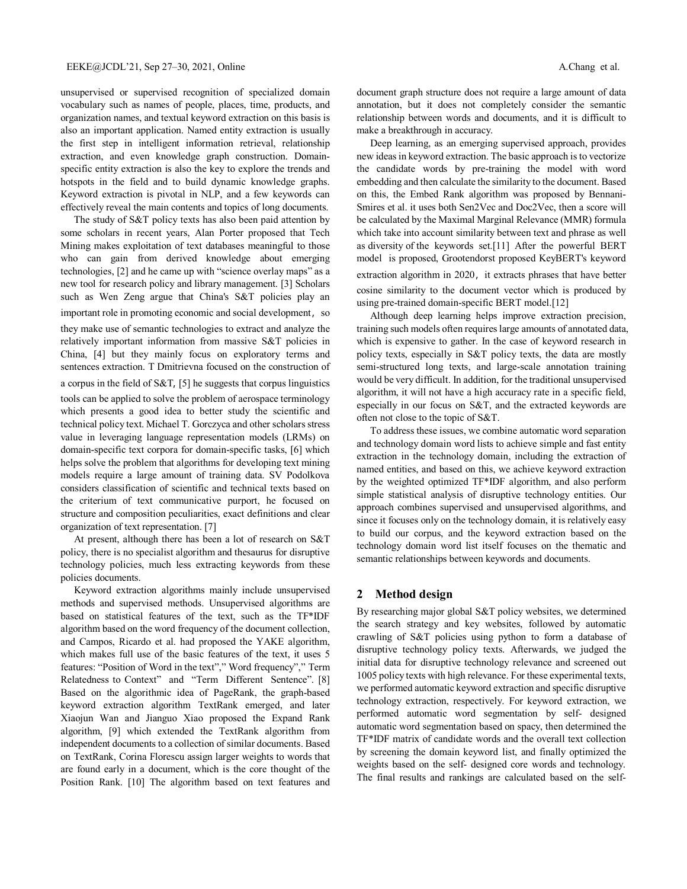unsupervised or supervised recognition of specialized domain vocabulary such as names of people, places, time, products, and organization names, and textual keyword extraction on this basis is also an important application. Named entity extraction is usually the first step in intelligent information retrieval, relationship extraction, and even knowledge graph construction. Domainspecific entity extraction is also the key to explore the trends and hotspots in the field and to build dynamic knowledge graphs. Keyword extraction is pivotal in NLP, and a few keywords can effectively reveal the main contents and topics of long documents.

The study of S&T policy texts has also been paid attention by some scholars in recent years, Alan Porter proposed that Tech Mining makes exploitation of text databases meaningful to those who can gain from derived knowledge about emerging technologies, [2] and he came up with "science overlay maps" as a new tool for research policy and library management. [3] Scholars such as Wen Zeng argue that China's S&T policies play an important role in promoting economic and social development, so they make use of semantic technologies to extract and analyze the relatively important information from massive S&T policies in China, [4] but they mainly focus on exploratory terms and sentences extraction. T Dmitrievna focused on the construction of a corpus in the field of S&T, [5] he suggests that corpus linguistics tools can be applied to solve the problem of aerospace terminology which presents a good idea to better study the scientific and technical policy text. Michael T. Gorczyca and other scholars stress value in leveraging language representation models (LRMs) on domain-specific text corpora for domain-specific tasks, [6] which helps solve the problem that algorithms for developing text mining models require a large amount of training data. SV Podolkova considers classification of scientific and technical texts based on the criterium of text communicative purport, he focused on structure and composition peculiarities, exact definitions and clear organization of text representation. [7]

At present, although there has been a lot of research on S&T policy, there is no specialist algorithm and thesaurus for disruptive technology policies, much less extracting keywords from these policies documents.

Keyword extraction algorithms mainly include unsupervised methods and supervised methods. Unsupervised algorithms are based on statistical features of the text, such as the TF\*IDF algorithm based on the word frequency of the document collection, and Campos, Ricardo et al. had proposed the YAKE algorithm, which makes full use of the basic features of the text, it uses 5 features: "Position of Word in the text"," Word frequency"," Term Relatedness to Context" and "Term Different Sentence". [8] Based on the algorithmic idea of PageRank, the graph-based keyword extraction algorithm TextRank emerged, and later Xiaojun Wan and Jianguo Xiao proposed the Expand Rank algorithm, [9] which extended the TextRank algorithm from independent documents to a collection of similar documents. Based on TextRank, Corina Florescu assign larger weights to words that are found early in a document, which is the core thought of the Position Rank. [10] The algorithm based on text features and document graph structure does not require a large amount of data annotation, but it does not completely consider the semantic relationship between words and documents, and it is difficult to make a breakthrough in accuracy.

Deep learning, as an emerging supervised approach, provides new ideas in keyword extraction. The basic approach is to vectorize the candidate words by pre-training the model with word embedding and then calculate the similarity to the document. Based on this, the Embed Rank algorithm was proposed by Bennani-Smires et al. it uses both Sen2Vec and Doc2Vec, then a score will be calculated by the Maximal Marginal Relevance (MMR) formula which take into account similarity between text and phrase as well as diversity of the keywords set.[11] After the powerful BERT model is proposed, Grootendorst proposed KeyBERT's keyword extraction algorithm in 2020, it extracts phrases that have better cosine similarity to the document vector which is produced by using pre-trained domain-specific BERT model.[12]

Although deep learning helps improve extraction precision, training such models often requires large amounts of annotated data, which is expensive to gather. In the case of keyword research in policy texts, especially in S&T policy texts, the data are mostly semi-structured long texts, and large-scale annotation training would be very difficult. In addition, for the traditional unsupervised algorithm, it will not have a high accuracy rate in a specific field, especially in our focus on S&T, and the extracted keywords are often not close to the topic of S&T.

To address these issues, we combine automatic word separation and technology domain word lists to achieve simple and fast entity extraction in the technology domain, including the extraction of named entities, and based on this, we achieve keyword extraction by the weighted optimized TF\*IDF algorithm, and also perform simple statistical analysis of disruptive technology entities. Our approach combines supervised and unsupervised algorithms, and since it focuses only on the technology domain, it is relatively easy to build our corpus, and the keyword extraction based on the technology domain word list itself focuses on the thematic and semantic relationships between keywords and documents.

# **2 Method design**

By researching major global S&T policy websites, we determined the search strategy and key websites, followed by automatic crawling of S&T policies using python to form a database of disruptive technology policy texts. Afterwards, we judged the initial data for disruptive technology relevance and screened out 1005 policy texts with high relevance. For these experimental texts, we performed automatic keyword extraction and specific disruptive technology extraction, respectively. For keyword extraction, we performed automatic word segmentation by self- designed automatic word segmentation based on spacy, then determined the TF\*IDF matrix of candidate words and the overall text collection by screening the domain keyword list, and finally optimized the weights based on the self- designed core words and technology. The final results and rankings are calculated based on the self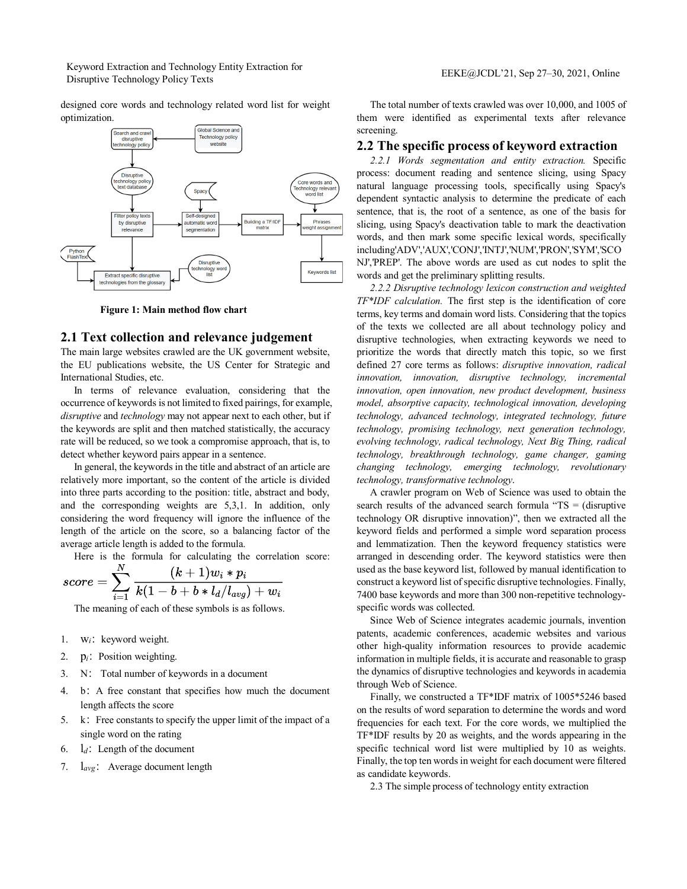Keyword Extraction and Technology Entity Extraction for EEKE@JCDL'21, Sep 27–30, 2021, Online<br>Disruptive Technology Policy Texts

designed core words and technology related word list for weight optimization.



**Figure 1: Main method flow chart**

#### **2.1 Text collection and relevance judgement**

The main large websites crawled are the UK government website, the EU publications website, the US Center for Strategic and International Studies, etc.

In terms of relevance evaluation, considering that the occurrence of keywords is not limited to fixed pairings, for example, *disruptive* and *technology* may not appear next to each other, but if the keywords are split and then matched statistically, the accuracy rate will be reduced, so we took a compromise approach, that is, to detect whether keyword pairs appear in a sentence.

In general, the keywords in the title and abstract of an article are relatively more important, so the content of the article is divided into three parts according to the position: title, abstract and body, and the corresponding weights are 5,3,1. In addition, only considering the word frequency will ignore the influence of the length of the article on the score, so a balancing factor of the average article length is added to the formula.

Here is the formula for calculating the correlation score:

$$
score = \sum_{i=1}^N \frac{(k+1)w_i*p_i}{k(1-b+b*d_d/l_{avg})+w_i}
$$

The meaning of each of these symbols is as follows.

- 1.  $W_i$ : keyword weight.
- 2. p<sub>i</sub>: Position weighting.
- 3. N: Total number of keywords in a document
- 4. b:A free constant that specifies how much the document length affects the score
- 5. k: Free constants to specify the upper limit of the impact of a single word on the rating
- 6.  $l_d$ : Length of the document
- 7. l*avg*: Average document length

The total number of texts crawled was over 10,000, and 1005 of them were identified as experimental texts after relevance screening.

### **2.2 The specific process of keyword extraction**

*2.2.1 Words segmentation and entity extraction.* Specific process: document reading and sentence slicing, using Spacy natural language processing tools, specifically using Spacy's dependent syntactic analysis to determine the predicate of each sentence, that is, the root of a sentence, as one of the basis for slicing, using Spacy's deactivation table to mark the deactivation words, and then mark some specific lexical words, specifically including'ADV','AUX','CONJ','INTJ','NUM','PRON','SYM','SCO NJ','PREP'. The above words are used as cut nodes to split the words and get the preliminary splitting results.

*2.2.2 Disruptive technology lexicon construction and weighted TF\*IDF calculation.* The first step is the identification of core terms, key terms and domain word lists. Considering that the topics of the texts we collected are all about technology policy and disruptive technologies, when extracting keywords we need to prioritize the words that directly match this topic, so we first defined 27 core terms as follows: *disruptive innovation, radical innovation, innovation, disruptive technology, incremental innovation, open innovation, new product development, business model, absorptive capacity, technological innovation, developing technology, advanced technology, integrated technology, future technology, promising technology, next generation technology, evolving technology, radical technology, Next Big Thing, radical technology, breakthrough technology, game changer, gaming changing technology, emerging technology, revolutionary technology, transformative technology*.

A crawler program on Web of Science was used to obtain the search results of the advanced search formula "TS = (disruptive technology OR disruptive innovation)", then we extracted all the keyword fields and performed a simple word separation process and lemmatization. Then the keyword frequency statistics were arranged in descending order. The keyword statistics were then used as the base keyword list, followed by manual identification to construct a keyword list of specific disruptive technologies. Finally, 7400 base keywords and more than 300 non-repetitive technologyspecific words was collected.

Since Web of Science integrates academic journals, invention patents, academic conferences, academic websites and various other high-quality information resources to provide academic information in multiple fields, it is accurate and reasonable to grasp the dynamics of disruptive technologies and keywords in academia through Web of Science.

Finally, we constructed a TF\*IDF matrix of 1005\*5246 based on the results of word separation to determine the words and word frequencies for each text. For the core words, we multiplied the TF\*IDF results by 20 as weights, and the words appearing in the specific technical word list were multiplied by 10 as weights. Finally, the top ten words in weight for each document were filtered as candidate keywords.

2.3 The simple process of technology entity extraction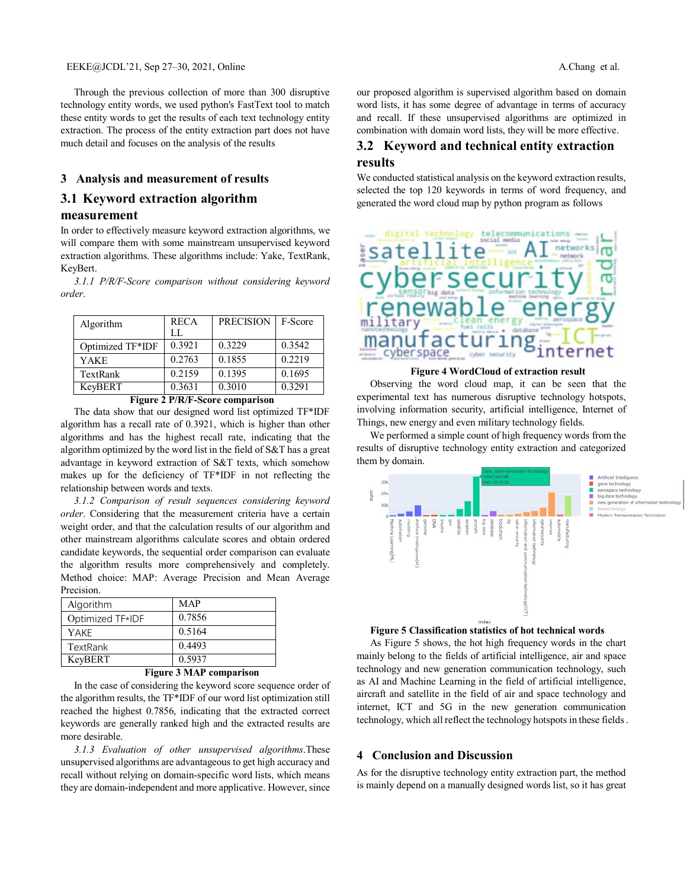Through the previous collection of more than 300 disruptive technology entity words, we used python's FastText tool to match these entity words to get the results of each text technology entity extraction. The process of the entity extraction part does not have much detail and focuses on the analysis of the results

## **3 Analysis and measurement of results**

# **3.1 Keyword extraction algorithm**

# **measurement**

In order to effectively measure keyword extraction algorithms, we will compare them with some mainstream unsupervised keyword extraction algorithms. These algorithms include: Yake, TextRank, KeyBert.

*3.1.1 P/R/F-Score comparison without considering keyword order*.

| Algorithm        | <b>RECA</b> | <b>PRECISION</b> | F-Score |
|------------------|-------------|------------------|---------|
|                  | LL.         |                  |         |
| Optimized TF*IDF | 0.3921      | 0.3229           | 0.3542  |
| YAKE             | 0.2763      | 0.1855           | 0.2219  |
| TextRank         | 0.2159      | 0.1395           | 0.1695  |
| KevBERT          | 0.3631      | 0.3010           | 0.3291  |

**Figure 2 P/R/F-Score comparison**

The data show that our designed word list optimized TF\*IDF algorithm has a recall rate of 0.3921, which is higher than other algorithms and has the highest recall rate, indicating that the algorithm optimized by the word list in the field of S&T has a great advantage in keyword extraction of S&T texts, which somehow makes up for the deficiency of TF\*IDF in not reflecting the relationship between words and texts.

*3.1.2 Comparison of result sequences considering keyword order*. Considering that the measurement criteria have a certain weight order, and that the calculation results of our algorithm and other mainstream algorithms calculate scores and obtain ordered candidate keywords, the sequential order comparison can evaluate the algorithm results more comprehensively and completely. Method choice: MAP: Average Precision and Mean Average Precision.

| Algorithm        | <b>MAP</b> |
|------------------|------------|
| Optimized TF*IDF | 0.7856     |
| YAKF             | 0.5164     |
| TextRank         | 0.4493     |
| KeyBERT          | 0.5937     |

#### **Figure 3 MAP comparison**

In the case of considering the keyword score sequence order of the algorithm results, the TF\*IDF of our word list optimization still reached the highest 0.7856, indicating that the extracted correct keywords are generally ranked high and the extracted results are more desirable.

*3.1.3 Evaluation of other unsupervised algorithms*.These unsupervised algorithms are advantageous to get high accuracy and recall without relying on domain-specific word lists, which means they are domain-independent and more applicative. However, since

our proposed algorithm is supervised algorithm based on domain word lists, it has some degree of advantage in terms of accuracy and recall. If these unsupervised algorithms are optimized in combination with domain word lists, they will be more effective.

# **3.2 Keyword and technical entity extraction results**

We conducted statistical analysis on the keyword extraction results, selected the top 120 keywords in terms of word frequency, and generated the word cloud map by python program as follows



#### **Figure 4 WordCloud of extraction result**

Observing the word cloud map, it can be seen that the experimental text has numerous disruptive technology hotspots, involving information security, artificial intelligence, Internet of Things, new energy and even military technology fields.

We performed a simple count of high frequency words from the results of disruptive technology entity extraction and categorized them by domain.



**Figure 5 Classification statistics of hot technical words**

As Figure 5 shows, the hot high frequency words in the chart mainly belong to the fields of artificial intelligence, air and space technology and new generation communication technology, such as AI and Machine Learning in the field of artificial intelligence, aircraft and satellite in the field of air and space technology and internet, ICT and 5G in the new generation communication technology, which all reflect the technology hotspots in these fields .

#### **4 Conclusion and Discussion**

As for the disruptive technology entity extraction part, the method is mainly depend on a manually designed words list, so it has great